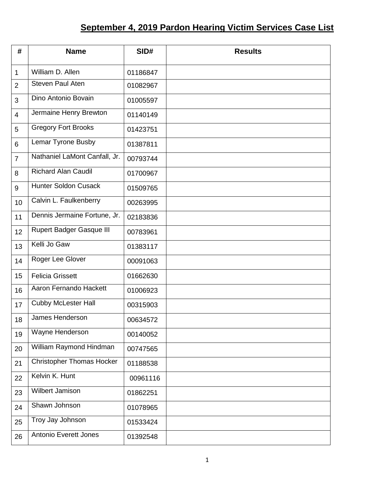## **September 4, 2019 Pardon Hearing Victim Services Case List**

| #              | <b>Name</b>                      | SID#     | <b>Results</b> |
|----------------|----------------------------------|----------|----------------|
| $\mathbf 1$    | William D. Allen                 | 01186847 |                |
| $\overline{2}$ | <b>Steven Paul Aten</b>          | 01082967 |                |
| 3              | Dino Antonio Bovain              | 01005597 |                |
| $\overline{4}$ | Jermaine Henry Brewton           | 01140149 |                |
| 5              | <b>Gregory Fort Brooks</b>       | 01423751 |                |
| 6              | Lemar Tyrone Busby               | 01387811 |                |
| $\overline{7}$ | Nathaniel LaMont Canfall, Jr.    | 00793744 |                |
| 8              | <b>Richard Alan Caudil</b>       | 01700967 |                |
| 9              | <b>Hunter Soldon Cusack</b>      | 01509765 |                |
| 10             | Calvin L. Faulkenberry           | 00263995 |                |
| 11             | Dennis Jermaine Fortune, Jr.     | 02183836 |                |
| 12             | <b>Rupert Badger Gasque III</b>  | 00783961 |                |
| 13             | Kelli Jo Gaw                     | 01383117 |                |
| 14             | Roger Lee Glover                 | 00091063 |                |
| 15             | <b>Felicia Grissett</b>          | 01662630 |                |
| 16             | Aaron Fernando Hackett           | 01006923 |                |
| 17             | <b>Cubby McLester Hall</b>       | 00315903 |                |
| 18             | James Henderson                  | 00634572 |                |
| 19             | Wayne Henderson                  | 00140052 |                |
| 20             | William Raymond Hindman          | 00747565 |                |
| 21             | <b>Christopher Thomas Hocker</b> | 01188538 |                |
| 22             | Kelvin K. Hunt                   | 00961116 |                |
| 23             | Wilbert Jamison                  | 01862251 |                |
| 24             | Shawn Johnson                    | 01078965 |                |
| 25             | Troy Jay Johnson                 | 01533424 |                |
| 26             | <b>Antonio Everett Jones</b>     | 01392548 |                |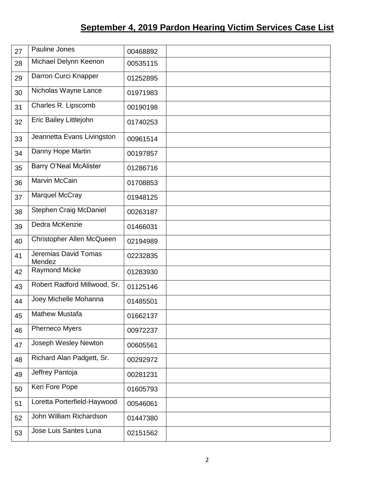## **September 4, 2019 Pardon Hearing Victim Services Case List**

| 27 | Pauline Jones                  | 00468892 |  |
|----|--------------------------------|----------|--|
| 28 | Michael Delynn Keenon          | 00535115 |  |
| 29 | Darron Curci Knapper           | 01252895 |  |
| 30 | Nicholas Wayne Lance           | 01971983 |  |
| 31 | Charles R. Lipscomb            | 00190198 |  |
| 32 | Eric Bailey Littlejohn         | 01740253 |  |
| 33 | Jeannetta Evans Livingston     | 00961514 |  |
| 34 | Danny Hope Martin              | 00197857 |  |
| 35 | <b>Barry O'Neal McAlister</b>  | 01286716 |  |
| 36 | Marvin McCain                  | 01708853 |  |
| 37 | Marquel McCray                 | 01948125 |  |
| 38 | Stephen Craig McDaniel         | 00263187 |  |
| 39 | Dedra McKenzie                 | 01466031 |  |
| 40 | Christopher Allen McQueen      | 02194989 |  |
| 41 | Jeremias David Tomas<br>Mendez | 02232835 |  |
| 42 | <b>Raymond Micke</b>           | 01283930 |  |
| 43 | Robert Radford Millwood, Sr.   | 01125146 |  |
| 44 | Joey Michelle Mohanna          | 01485501 |  |
| 45 | <b>Mathew Mustafa</b>          | 01662137 |  |
| 46 | Pherneco Myers                 | 00972237 |  |
| 47 | Joseph Wesley Newton           | 00605561 |  |
| 48 | Richard Alan Padgett, Sr.      | 00292972 |  |
| 49 | Jeffrey Pantoja                | 00281231 |  |
| 50 | Keri Fore Pope                 | 01605793 |  |
| 51 | Loretta Porterfield-Haywood    | 00546061 |  |
| 52 | John William Richardson        | 01447380 |  |
| 53 | Jose Luis Santes Luna          | 02151562 |  |